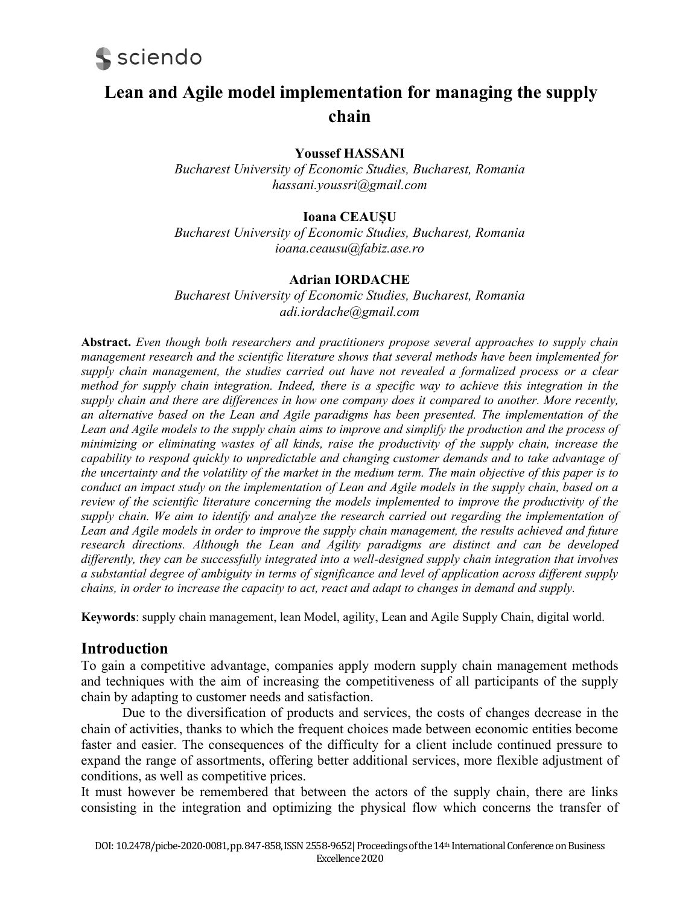

# **Lean and Agile model implementation for managing the supply chain**

# **Youssef HASSANI**

*Bucharest University of Economic Studies, Bucharest, Romania hassani.youssri@gmail.com*

## **Ioana CEAUȘU**

*Bucharest University of Economic Studies, Bucharest, Romania [ioana.ceausu@fabiz.ase.ro](mailto:ioana.ceausu@fabiz.ase.ro)*

#### **Adrian IORDACHE**

*Bucharest University of Economic Studies, Bucharest, Romania adi.iordache@gmail.com*

**Abstract.** *Even though both researchers and practitioners propose several approaches to supply chain management research and the scientific literature shows that several methods have been implemented for supply chain management, the studies carried out have not revealed a formalized process or a clear method for supply chain integration. Indeed, there is a specific way to achieve this integration in the supply chain and there are differences in how one company does it compared to another. More recently, an alternative based on the Lean and Agile paradigms has been presented. The implementation of the Lean and Agile models to the supply chain aims to improve and simplify the production and the process of minimizing or eliminating wastes of all kinds, raise the productivity of the supply chain, increase the capability to respond quickly to unpredictable and changing customer demands and to take advantage of the uncertainty and the volatility of the market in the medium term. The main objective of this paper is to conduct an impact study on the implementation of Lean and Agile models in the supply chain, based on a review of the scientific literature concerning the models implemented to improve the productivity of the supply chain. We aim to identify and analyze the research carried out regarding the implementation of Lean and Agile models in order to improve the supply chain management, the results achieved and future research directions. Although the Lean and Agility paradigms are distinct and can be developed differently, they can be successfully integrated into a well-designed supply chain integration that involves a substantial degree of ambiguity in terms of significance and level of application across different supply chains, in order to increase the capacity to act, react and adapt to changes in demand and supply.*

**Keywords**: supply chain management, lean Model, agility, Lean and Agile Supply Chain, digital world.

## **Introduction**

To gain a competitive advantage, companies apply modern supply chain management methods and techniques with the aim of increasing the competitiveness of all participants of the supply chain by adapting to customer needs and satisfaction.

Due to the diversification of products and services, the costs of changes decrease in the chain of activities, thanks to which the frequent choices made between economic entities become faster and easier. The consequences of the difficulty for a client include continued pressure to expand the range of assortments, offering better additional services, more flexible adjustment of conditions, as well as competitive prices.

It must however be remembered that between the actors of the supply chain, there are links consisting in the integration and optimizing the physical flow which concerns the transfer of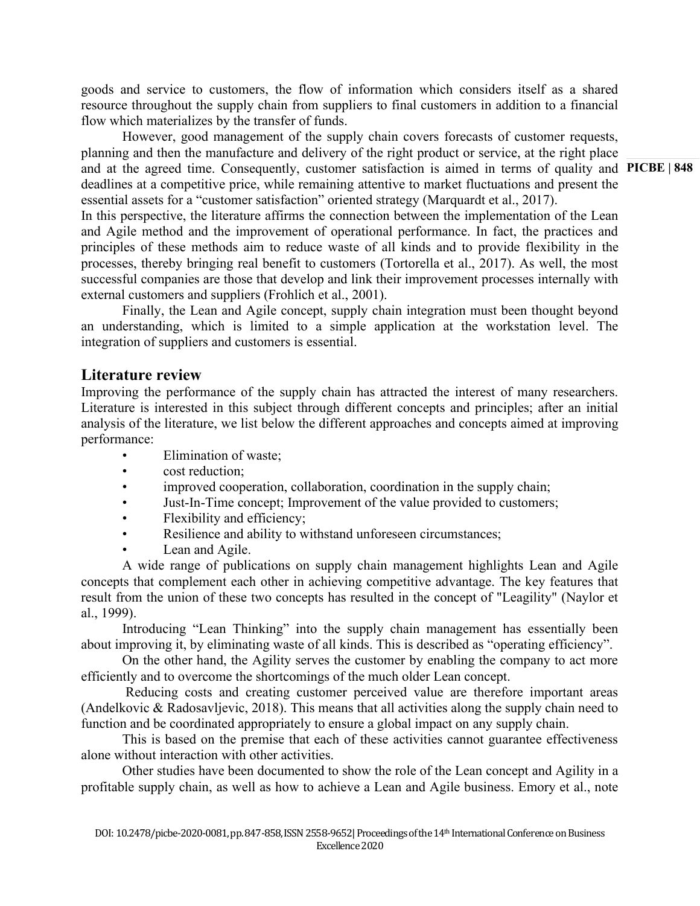goods and service to customers, the flow of information which considers itself as a shared resource throughout the supply chain from suppliers to final customers in addition to a financial flow which materializes by the transfer of funds.

and at the agreed time. Consequently, customer satisfaction is aimed in terms of quality and PICBE | 848 However, good management of the supply chain covers forecasts of customer requests, planning and then the manufacture and delivery of the right product or service, at the right place deadlines at a competitive price, while remaining attentive to market fluctuations and present the essential assets for a "customer satisfaction" oriented strategy (Marquardt et al., 2017).

In this perspective, the literature affirms the connection between the implementation of the Lean and Agile method and the improvement of operational performance. In fact, the practices and principles of these methods aim to reduce waste of all kinds and to provide flexibility in the processes, thereby bringing real benefit to customers (Tortorella et al., 2017). As well, the most successful companies are those that develop and link their improvement processes internally with external customers and suppliers (Frohlich et al., 2001).

Finally, the Lean and Agile concept, supply chain integration must been thought beyond an understanding, which is limited to a simple application at the workstation level. The integration of suppliers and customers is essential.

# **Literature review**

Improving the performance of the supply chain has attracted the interest of many researchers. Literature is interested in this subject through different concepts and principles; after an initial analysis of the literature, we list below the different approaches and concepts aimed at improving performance:

- Elimination of waste:
- cost reduction:
- improved cooperation, collaboration, coordination in the supply chain;
- Just-In-Time concept; Improvement of the value provided to customers;
- Flexibility and efficiency;
- Resilience and ability to withstand unforeseen circumstances;
- Lean and Agile.

A wide range of publications on supply chain management highlights Lean and Agile concepts that complement each other in achieving competitive advantage. The key features that result from the union of these two concepts has resulted in the concept of "Leagility" (Naylor et al., 1999).

Introducing "Lean Thinking" into the supply chain management has essentially been about improving it, by eliminating waste of all kinds. This is described as "operating efficiency".

On the other hand, the Agility serves the customer by enabling the company to act more efficiently and to overcome the shortcomings of the much older Lean concept.

Reducing costs and creating customer perceived value are therefore important areas (Andelkovic & Radosavljevic, 2018). This means that all activities along the supply chain need to function and be coordinated appropriately to ensure a global impact on any supply chain.

This is based on the premise that each of these activities cannot guarantee effectiveness alone without interaction with other activities.

Other studies have been documented to show the role of the Lean concept and Agility in a profitable supply chain, as well as how to achieve a Lean and Agile business. Emory et al., note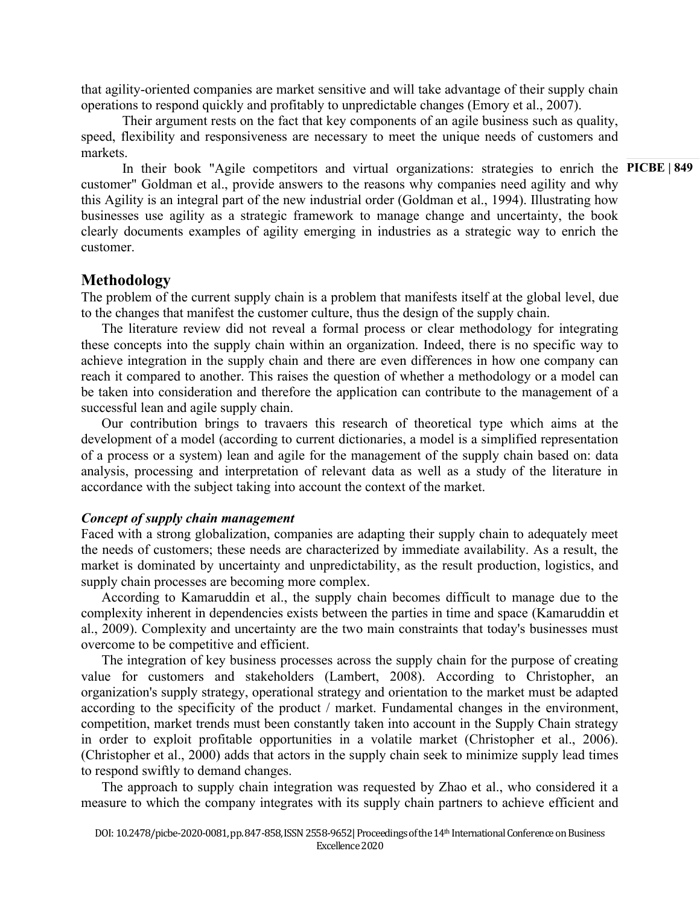that agility-oriented companies are market sensitive and will take advantage of their supply chain operations to respond quickly and profitably to unpredictable changes (Emory et al., 2007).

Their argument rests on the fact that key components of an agile business such as quality, speed, flexibility and responsiveness are necessary to meet the unique needs of customers and markets.

In their book "Agile competitors and virtual organizations: strategies to enrich the PICBE | 849 customer" Goldman et al., provide answers to the reasons why companies need agility and why this Agility is an integral part of the new industrial order (Goldman et al., 1994). Illustrating how businesses use agility as a strategic framework to manage change and uncertainty, the book clearly documents examples of agility emerging in industries as a strategic way to enrich the customer.

# **Methodology**

The problem of the current supply chain is a problem that manifests itself at the global level, due to the changes that manifest the customer culture, thus the design of the supply chain.

The literature review did not reveal a formal process or clear methodology for integrating these concepts into the supply chain within an organization. Indeed, there is no specific way to achieve integration in the supply chain and there are even differences in how one company can reach it compared to another. This raises the question of whether a methodology or a model can be taken into consideration and therefore the application can contribute to the management of a successful lean and agile supply chain.

Our contribution brings to travaers this research of theoretical type which aims at the development of a model (according to current dictionaries, a model is a simplified representation of a process or a system) lean and agile for the management of the supply chain based on: data analysis, processing and interpretation of relevant data as well as a study of the literature in accordance with the subject taking into account the context of the market.

## *Concept of supply chain management*

Faced with a strong globalization, companies are adapting their supply chain to adequately meet the needs of customers; these needs are characterized by immediate availability. As a result, the market is dominated by uncertainty and unpredictability, as the result production, logistics, and supply chain processes are becoming more complex.

According to Kamaruddin et al., the supply chain becomes difficult to manage due to the complexity inherent in dependencies exists between the parties in time and space (Kamaruddin et al., 2009). Complexity and uncertainty are the two main constraints that today's businesses must overcome to be competitive and efficient.

The integration of key business processes across the supply chain for the purpose of creating value for customers and stakeholders (Lambert, 2008). According to Christopher, an organization's supply strategy, operational strategy and orientation to the market must be adapted according to the specificity of the product / market. Fundamental changes in the environment, competition, market trends must been constantly taken into account in the Supply Chain strategy in order to exploit profitable opportunities in a volatile market (Christopher et al., 2006). (Christopher et al., 2000) adds that actors in the supply chain seek to minimize supply lead times to respond swiftly to demand changes.

The approach to supply chain integration was requested by Zhao et al., who considered it a measure to which the company integrates with its supply chain partners to achieve efficient and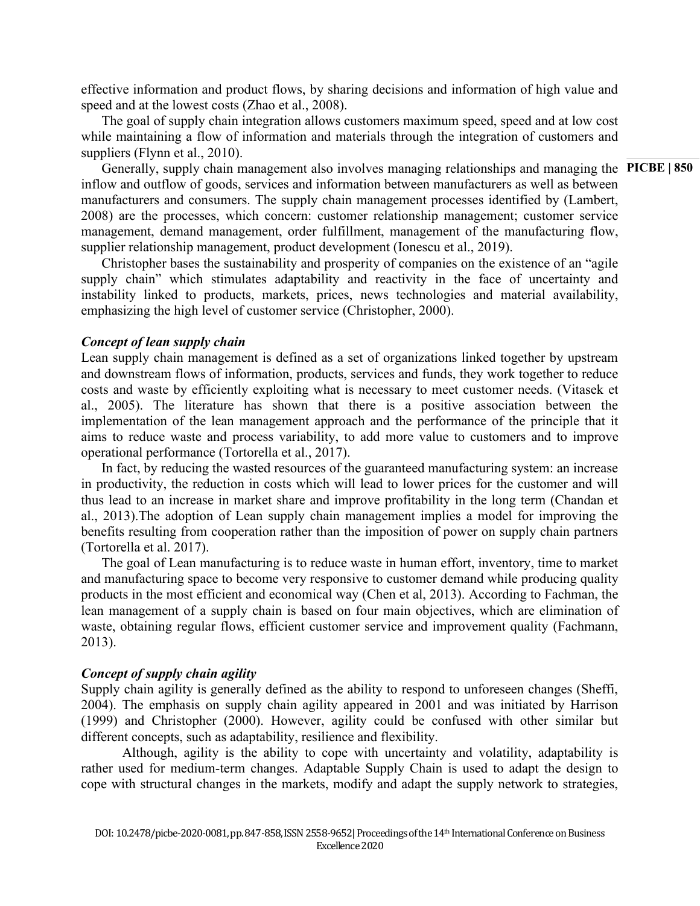effective information and product flows, by sharing decisions and information of high value and speed and at the lowest costs (Zhao et al., 2008).

The goal of supply chain integration allows customers maximum speed, speed and at low cost while maintaining a flow of information and materials through the integration of customers and suppliers (Flynn et al., 2010).

Generally, supply chain management also involves managing relationships and managing the PICBE | 850 inflow and outflow of goods, services and information between manufacturers as well as between manufacturers and consumers. The supply chain management processes identified by (Lambert, 2008) are the processes, which concern: customer relationship management; customer service management, demand management, order fulfillment, management of the manufacturing flow, supplier relationship management, product development (Ionescu et al., 2019).

Christopher bases the sustainability and prosperity of companies on the existence of an "agile supply chain" which stimulates adaptability and reactivity in the face of uncertainty and instability linked to products, markets, prices, news technologies and material availability, emphasizing the high level of customer service (Christopher, 2000).

#### *Concept of lean supply chain*

Lean supply chain management is defined as a set of organizations linked together by upstream and downstream flows of information, products, services and funds, they work together to reduce costs and waste by efficiently exploiting what is necessary to meet customer needs. (Vitasek et al., 2005). The literature has shown that there is a positive association between the implementation of the lean management approach and the performance of the principle that it aims to reduce waste and process variability, to add more value to customers and to improve operational performance (Tortorella et al., 2017).

In fact, by reducing the wasted resources of the guaranteed manufacturing system: an increase in productivity, the reduction in costs which will lead to lower prices for the customer and will thus lead to an increase in market share and improve profitability in the long term (Chandan et al., 2013).The adoption of Lean supply chain management implies a model for improving the benefits resulting from cooperation rather than the imposition of power on supply chain partners (Tortorella et al. 2017).

The goal of Lean manufacturing is to reduce waste in human effort, inventory, time to market and manufacturing space to become very responsive to customer demand while producing quality products in the most efficient and economical way (Chen et al, 2013). According to Fachman, the lean management of a supply chain is based on four main objectives, which are elimination of waste, obtaining regular flows, efficient customer service and improvement quality (Fachmann, 2013).

## *Concept of supply chain agility*

Supply chain agility is generally defined as the ability to respond to unforeseen changes (Sheffi, 2004). The emphasis on supply chain agility appeared in 2001 and was initiated by Harrison (1999) and Christopher (2000). However, agility could be confused with other similar but different concepts, such as adaptability, resilience and flexibility.

Although, agility is the ability to cope with uncertainty and volatility, adaptability is rather used for medium-term changes. Adaptable Supply Chain is used to adapt the design to cope with structural changes in the markets, modify and adapt the supply network to strategies,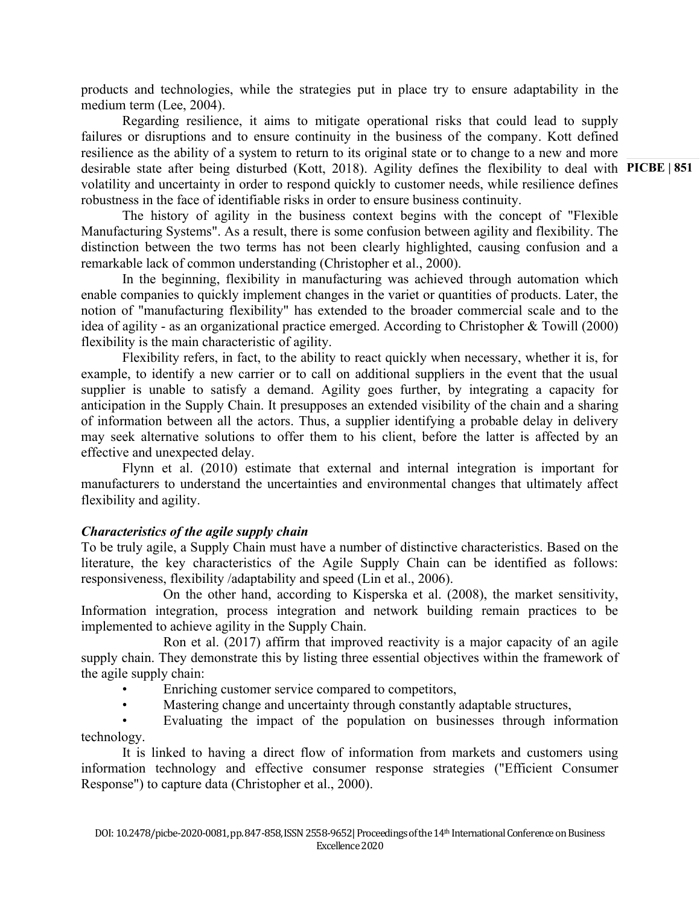products and technologies, while the strategies put in place try to ensure adaptability in the medium term (Lee, 2004).

desirable state after being disturbed (Kott, 2018). Agility defines the flexibility to deal with PICBE | 851 Regarding resilience, it aims to mitigate operational risks that could lead to supply failures or disruptions and to ensure continuity in the business of the company. Kott defined resilience as the ability of a system to return to its original state or to change to a new and more volatility and uncertainty in order to respond quickly to customer needs, while resilience defines robustness in the face of identifiable risks in order to ensure business continuity.

The history of agility in the business context begins with the concept of "Flexible Manufacturing Systems". As a result, there is some confusion between agility and flexibility. The distinction between the two terms has not been clearly highlighted, causing confusion and a remarkable lack of common understanding (Christopher et al., 2000).

In the beginning, flexibility in manufacturing was achieved through automation which enable companies to quickly implement changes in the variet or quantities of products. Later, the notion of "manufacturing flexibility" has extended to the broader commercial scale and to the idea of agility - as an organizational practice emerged. According to Christopher & Towill (2000) flexibility is the main characteristic of agility.

Flexibility refers, in fact, to the ability to react quickly when necessary, whether it is, for example, to identify a new carrier or to call on additional suppliers in the event that the usual supplier is unable to satisfy a demand. Agility goes further, by integrating a capacity for anticipation in the Supply Chain. It presupposes an extended visibility of the chain and a sharing of information between all the actors. Thus, a supplier identifying a probable delay in delivery may seek alternative solutions to offer them to his client, before the latter is affected by an effective and unexpected delay.

Flynn et al. (2010) estimate that external and internal integration is important for manufacturers to understand the uncertainties and environmental changes that ultimately affect flexibility and agility.

# *Characteristics of the agile supply chain*

To be truly agile, a Supply Chain must have a number of distinctive characteristics. Based on the literature, the key characteristics of the Agile Supply Chain can be identified as follows: responsiveness, flexibility /adaptability and speed (Lin et al., 2006).

On the other hand, according to Kisperska et al. (2008), the market sensitivity, Information integration, process integration and network building remain practices to be implemented to achieve agility in the Supply Chain.

Ron et al. (2017) affirm that improved reactivity is a major capacity of an agile supply chain. They demonstrate this by listing three essential objectives within the framework of the agile supply chain:

- Enriching customer service compared to competitors,
- Mastering change and uncertainty through constantly adaptable structures,

• Evaluating the impact of the population on businesses through information technology.

It is linked to having a direct flow of information from markets and customers using information technology and effective consumer response strategies ("Efficient Consumer Response") to capture data (Christopher et al., 2000).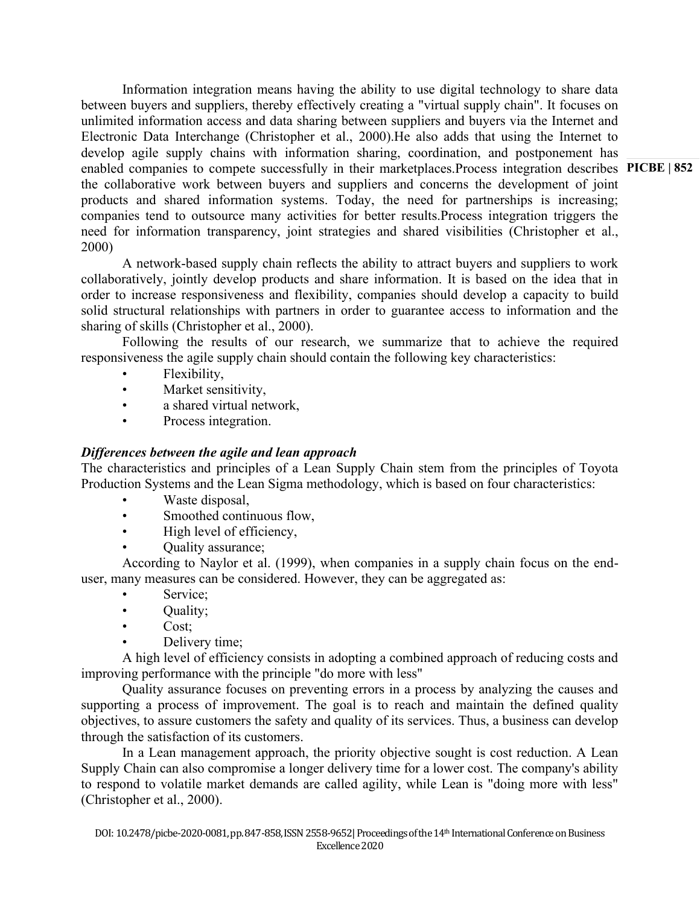enabled companies to compete successfully in their marketplaces.Process integration describes PICBE | 852 Information integration means having the ability to use digital technology to share data between buyers and suppliers, thereby effectively creating a "virtual supply chain". It focuses on unlimited information access and data sharing between suppliers and buyers via the Internet and Electronic Data Interchange (Christopher et al., 2000).He also adds that using the Internet to develop agile supply chains with information sharing, coordination, and postponement has the collaborative work between buyers and suppliers and concerns the development of joint products and shared information systems. Today, the need for partnerships is increasing; companies tend to outsource many activities for better results.Process integration triggers the need for information transparency, joint strategies and shared visibilities (Christopher et al., 2000)

A network-based supply chain reflects the ability to attract buyers and suppliers to work collaboratively, jointly develop products and share information. It is based on the idea that in order to increase responsiveness and flexibility, companies should develop a capacity to build solid structural relationships with partners in order to guarantee access to information and the sharing of skills (Christopher et al., 2000).

Following the results of our research, we summarize that to achieve the required responsiveness the agile supply chain should contain the following key characteristics:

- Flexibility,
- Market sensitivity,
- a shared virtual network,
- Process integration.

## *Differences between the agile and lean approach*

The characteristics and principles of a Lean Supply Chain stem from the principles of Toyota Production Systems and the Lean Sigma methodology, which is based on four characteristics:

- Waste disposal.
- Smoothed continuous flow,
- High level of efficiency,
- Quality assurance;

According to Naylor et al. (1999), when companies in a supply chain focus on the enduser, many measures can be considered. However, they can be aggregated as:

- Service;
- Quality;
- Cost;
- Delivery time;

A high level of efficiency consists in adopting a combined approach of reducing costs and improving performance with the principle "do more with less"

Quality assurance focuses on preventing errors in a process by analyzing the causes and supporting a process of improvement. The goal is to reach and maintain the defined quality objectives, to assure customers the safety and quality of its services. Thus, a business can develop through the satisfaction of its customers.

In a Lean management approach, the priority objective sought is cost reduction. A Lean Supply Chain can also compromise a longer delivery time for a lower cost. The company's ability to respond to volatile market demands are called agility, while Lean is "doing more with less" (Christopher et al., 2000).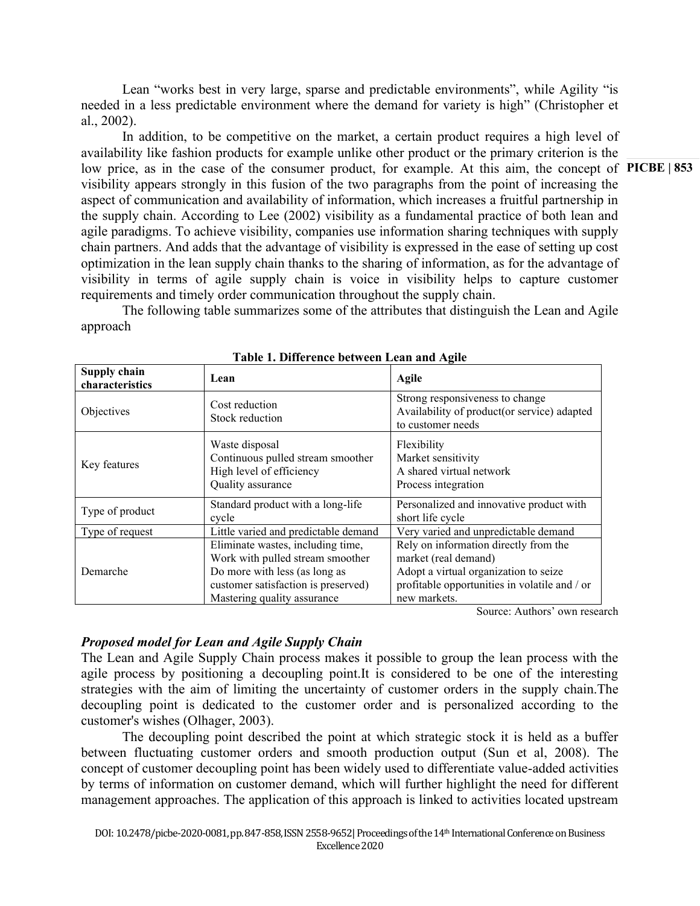Lean "works best in very large, sparse and predictable environments", while Agility "is needed in a less predictable environment where the demand for variety is high" (Christopher et al., 2002).

low price, as in the case of the consumer product, for example. At this aim, the concept of PICBE | 853 In addition, to be competitive on the market, a certain product requires a high level of availability like fashion products for example unlike other product or the primary criterion is the visibility appears strongly in this fusion of the two paragraphs from the point of increasing the aspect of communication and availability of information, which increases a fruitful partnership in the supply chain. According to Lee (2002) visibility as a fundamental practice of both lean and agile paradigms. To achieve visibility, companies use information sharing techniques with supply chain partners. And adds that the advantage of visibility is expressed in the ease of setting up cost optimization in the lean supply chain thanks to the sharing of information, as for the advantage of visibility in terms of agile supply chain is voice in visibility helps to capture customer requirements and timely order communication throughout the supply chain.

The following table summarizes some of the attributes that distinguish the Lean and Agile approach

| Supply chain<br>characteristics | Lean                                                                                                                                                                         | <b>Agile</b>                                                                                                                                                            |
|---------------------------------|------------------------------------------------------------------------------------------------------------------------------------------------------------------------------|-------------------------------------------------------------------------------------------------------------------------------------------------------------------------|
| Objectives                      | Cost reduction<br>Stock reduction                                                                                                                                            | Strong responsiveness to change<br>Availability of product(or service) adapted<br>to customer needs                                                                     |
| Key features                    | Waste disposal<br>Continuous pulled stream smoother<br>High level of efficiency<br>Quality assurance                                                                         | Flexibility<br>Market sensitivity<br>A shared virtual network<br>Process integration                                                                                    |
| Type of product                 | Standard product with a long-life<br>cycle                                                                                                                                   | Personalized and innovative product with<br>short life cycle                                                                                                            |
| Type of request                 | Little varied and predictable demand                                                                                                                                         | Very varied and unpredictable demand                                                                                                                                    |
| Demarche                        | Eliminate wastes, including time,<br>Work with pulled stream smoother<br>Do more with less (as long as<br>customer satisfaction is preserved)<br>Mastering quality assurance | Rely on information directly from the<br>market (real demand)<br>Adopt a virtual organization to seize<br>profitable opportunities in volatile and / or<br>new markets. |

**Table 1. Difference between Lean and Agile**

Source: Authors' own research

# *Proposed model for Lean and Agile Supply Chain*

The Lean and Agile Supply Chain process makes it possible to group the lean process with the agile process by positioning a decoupling point.It is considered to be one of the interesting strategies with the aim of limiting the uncertainty of customer orders in the supply chain.The decoupling point is dedicated to the customer order and is personalized according to the customer's wishes (Olhager, 2003).

The decoupling point described the point at which strategic stock it is held as a buffer between fluctuating customer orders and smooth production output (Sun et al, 2008). The concept of customer decoupling point has been widely used to differentiate value-added activities by terms of information on customer demand, which will further highlight the need for different management approaches. The application of this approach is linked to activities located upstream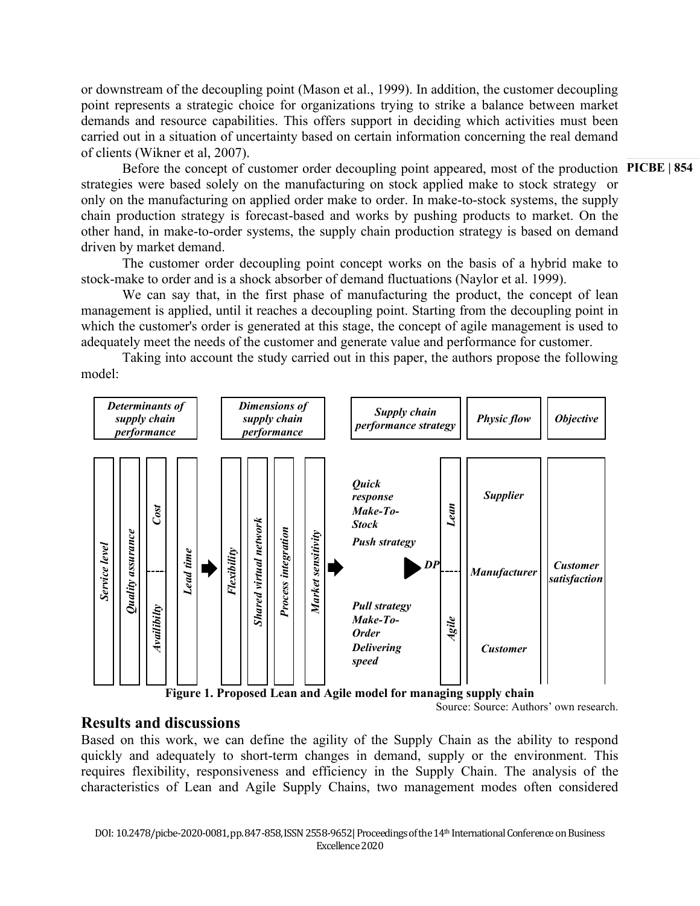or downstream of the decoupling point (Mason et al., 1999). In addition, the customer decoupling point represents a strategic choice for organizations trying to strike a balance between market demands and resource capabilities. This offers support in deciding which activities must been carried out in a situation of uncertainty based on certain information concerning the real demand of clients (Wikner et al, 2007).

Before the concept of customer order decoupling point appeared, most of the production PICBE | 854 strategies were based solely on the manufacturing on stock applied make to stock strategy or only on the manufacturing on applied order make to order. In make-to-stock systems, the supply chain production strategy is forecast-based and works by pushing products to market. On the other hand, in make-to-order systems, the supply chain production strategy is based on demand driven by market demand.

The customer order decoupling point concept works on the basis of a hybrid make to stock-make to order and is a shock absorber of demand fluctuations (Naylor et al. 1999).

We can say that, in the first phase of manufacturing the product, the concept of lean management is applied, until it reaches a decoupling point. Starting from the decoupling point in which the customer's order is generated at this stage, the concept of agile management is used to adequately meet the needs of the customer and generate value and performance for customer.

Taking into account the study carried out in this paper, the authors propose the following model:



Source: Source: Authors' own research.

# **Results and discussions**

Based on this work, we can define the agility of the Supply Chain as the ability to respond quickly and adequately to short-term changes in demand, supply or the environment. This requires flexibility, responsiveness and efficiency in the Supply Chain. The analysis of the characteristics of Lean and Agile Supply Chains, two management modes often considered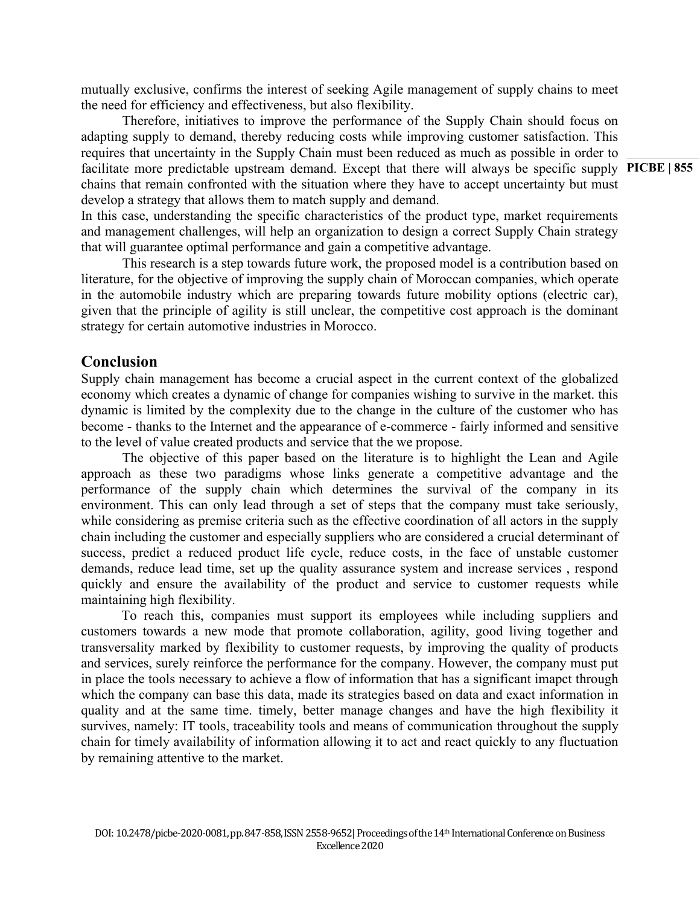mutually exclusive, confirms the interest of seeking Agile management of supply chains to meet the need for efficiency and effectiveness, but also flexibility.

facilitate more predictable upstream demand. Except that there will always be specific supply PICBE | 855 Therefore, initiatives to improve the performance of the Supply Chain should focus on adapting supply to demand, thereby reducing costs while improving customer satisfaction. This requires that uncertainty in the Supply Chain must been reduced as much as possible in order to chains that remain confronted with the situation where they have to accept uncertainty but must develop a strategy that allows them to match supply and demand.

In this case, understanding the specific characteristics of the product type, market requirements and management challenges, will help an organization to design a correct Supply Chain strategy that will guarantee optimal performance and gain a competitive advantage.

This research is a step towards future work, the proposed model is a contribution based on literature, for the objective of improving the supply chain of Moroccan companies, which operate in the automobile industry which are preparing towards future mobility options (electric car), given that the principle of agility is still unclear, the competitive cost approach is the dominant strategy for certain automotive industries in Morocco.

## **Conclusion**

Supply chain management has become a crucial aspect in the current context of the globalized economy which creates a dynamic of change for companies wishing to survive in the market. this dynamic is limited by the complexity due to the change in the culture of the customer who has become - thanks to the Internet and the appearance of e-commerce - fairly informed and sensitive to the level of value created products and service that the we propose.

The objective of this paper based on the literature is to highlight the Lean and Agile approach as these two paradigms whose links generate a competitive advantage and the performance of the supply chain which determines the survival of the company in its environment. This can only lead through a set of steps that the company must take seriously, while considering as premise criteria such as the effective coordination of all actors in the supply chain including the customer and especially suppliers who are considered a crucial determinant of success, predict a reduced product life cycle, reduce costs, in the face of unstable customer demands, reduce lead time, set up the quality assurance system and increase services , respond quickly and ensure the availability of the product and service to customer requests while maintaining high flexibility.

To reach this, companies must support its employees while including suppliers and customers towards a new mode that promote collaboration, agility, good living together and transversality marked by flexibility to customer requests, by improving the quality of products and services, surely reinforce the performance for the company. However, the company must put in place the tools necessary to achieve a flow of information that has a significant imapct through which the company can base this data, made its strategies based on data and exact information in quality and at the same time. timely, better manage changes and have the high flexibility it survives, namely: IT tools, traceability tools and means of communication throughout the supply chain for timely availability of information allowing it to act and react quickly to any fluctuation by remaining attentive to the market.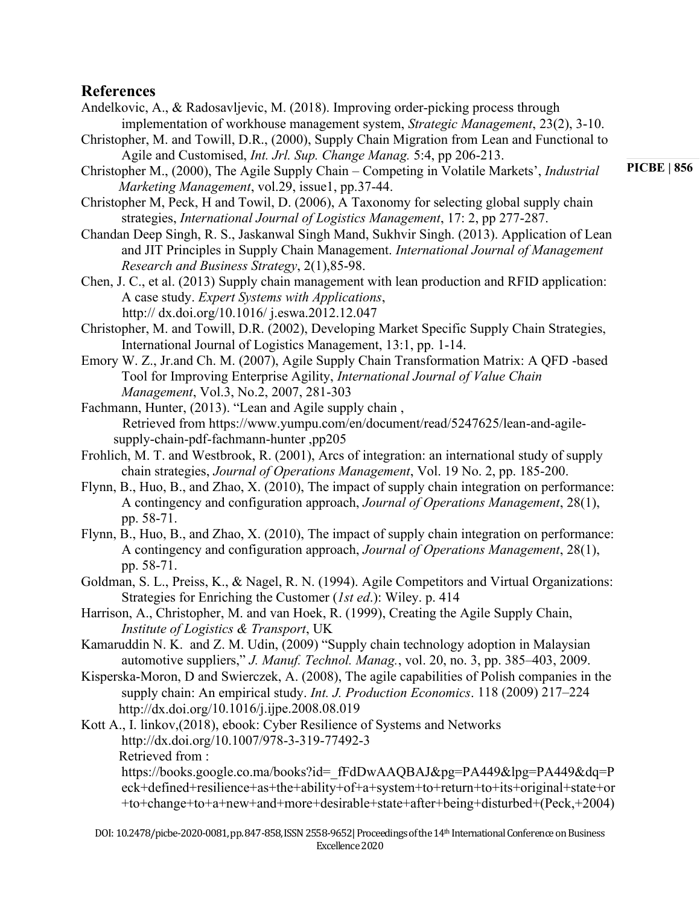# **References**

- Andelkovic, A., & Radosavljevic, M. (2018). Improving order-picking process through implementation of workhouse management system, *Strategic Management*, 23(2), 3-10.
- Christopher, M. and Towill, D.R., (2000), Supply Chain Migration from Lean and Functional to Agile and Customised, *Int. Jrl. Sup. Change Manag.* 5:4, pp 206-213.

Christopher M., (2000), The Agile Supply Chain – Competing in Volatile Markets', *Industrial Marketing Management*, vol.29, issue1, pp.37-44.

Christopher M, Peck, H and Towil, D. (2006), A Taxonomy for selecting global supply chain strategies, *International Journal of Logistics Management*, 17: 2, pp 277-287.

Chandan Deep Singh, R. S., Jaskanwal Singh Mand, Sukhvir Singh. (2013). Application of Lean and JIT Principles in Supply Chain Management. *International Journal of Management Research and Business Strategy*, 2(1),85-98.

Chen, J. C., et al. (2013) Supply chain management with lean production and RFID application: A case study. *Expert Systems with Applications*, http:// dx.doi.org/10.1016/ j.eswa.2012.12.047

Christopher, M. and Towill, D.R. (2002), Developing Market Specific Supply Chain Strategies, International Journal of Logistics Management, 13:1, pp. 1-14.

Emory W. Z., Jr.and Ch. M. (2007), Agile Supply Chain Transformation Matrix: A QFD -based Tool for Improving Enterprise Agility, *International Journal of Value Chain Management*, Vol.3, No.2, 2007, 281-303

Fachmann, Hunter, (2013). "Lean and Agile supply chain , Retrieved from https://www.yumpu.com/en/document/read/5247625/lean-and-agilesupply-chain-pdf-fachmann-hunter ,pp205

- Frohlich, M. T. and Westbrook, R. (2001), Arcs of integration: an international study of supply chain strategies, *Journal of Operations Management*, Vol. 19 No. 2, pp. 185-200.
- Flynn, B., Huo, B., and Zhao, X. (2010), The impact of supply chain integration on performance: A contingency and configuration approach, *Journal of Operations Management*, 28(1), pp. 58-71.
- Flynn, B., Huo, B., and Zhao, X. (2010), The impact of supply chain integration on performance: A contingency and configuration approach, *Journal of Operations Management*, 28(1), pp. 58-71.
- Goldman, S. L., Preiss, K., & Nagel, R. N. (1994). Agile Competitors and Virtual Organizations: Strategies for Enriching the Customer (*1st ed*.): Wiley. p. 414

Harrison, A., Christopher, M. and van Hoek, R. (1999), Creating the Agile Supply Chain, *Institute of Logistics & Transport*, UK

Kamaruddin N. K. and Z. M. Udin, (2009) "Supply chain technology adoption in Malaysian automotive suppliers," *J. Manuf. Technol. Manag.*, vol. 20, no. 3, pp. 385–403, 2009.

Kisperska-Moron, D and Swierczek, A. (2008), The agile capabilities of Polish companies in the supply chain: An empirical study. *Int. J. Production Economics*. 118 (2009) 217–224 http://dx.doi.org/10.1016/j.ijpe.2008.08.019

Kott A., I. linkov,(2018), ebook: Cyber Resilience of Systems and Networks http://dx.doi.org/10.1007/978-3-319-77492-3 Retrieved from :

[https://books.google.co.ma/books?id=\\_fFdDwAAQBAJ&pg=PA449&lpg=PA449&dq=P](https://books.google.co.ma/books?id=_fFdDwAAQBAJ&pg=PA449&lpg=PA449&dq=Peck+defined+resilience+as+the+ability+of+a+system+to+return+to+its+original+state+or+to+change+to+a+new+and+more+desirable+state+after+being+disturbed+(Peck,+2004)&source=bl&ots=ziZC-jfzW4&sig=ACfU3U0vumbW1deBgKTo3LAjTgPLIfO-9w&hl=en&sa=X&ved=2ahUKEwj_wJbyw-3mAhXL8eAKHaWvARoQ6AEwA3oECAcQAQ#v=onepage&q=Peck%20defined%20resilience%20as%20the%20ability%20of%20a%20system%20to%20return%20to%20its%20original%20state%20or%20to%20change%20to%20a%20new%20and%20more%20desirable%20state%20after%20being%20disturbed%20(Peck%2C%202004)&f=false) [eck+defined+resilience+as+the+ability+of+a+system+to+return+to+its+original+state+or](https://books.google.co.ma/books?id=_fFdDwAAQBAJ&pg=PA449&lpg=PA449&dq=Peck+defined+resilience+as+the+ability+of+a+system+to+return+to+its+original+state+or+to+change+to+a+new+and+more+desirable+state+after+being+disturbed+(Peck,+2004)&source=bl&ots=ziZC-jfzW4&sig=ACfU3U0vumbW1deBgKTo3LAjTgPLIfO-9w&hl=en&sa=X&ved=2ahUKEwj_wJbyw-3mAhXL8eAKHaWvARoQ6AEwA3oECAcQAQ#v=onepage&q=Peck%20defined%20resilience%20as%20the%20ability%20of%20a%20system%20to%20return%20to%20its%20original%20state%20or%20to%20change%20to%20a%20new%20and%20more%20desirable%20state%20after%20being%20disturbed%20(Peck%2C%202004)&f=false) [+to+change+to+a+new+and+more+desirable+state+after+being+disturbed+\(Peck,+2004\)](https://books.google.co.ma/books?id=_fFdDwAAQBAJ&pg=PA449&lpg=PA449&dq=Peck+defined+resilience+as+the+ability+of+a+system+to+return+to+its+original+state+or+to+change+to+a+new+and+more+desirable+state+after+being+disturbed+(Peck,+2004)&source=bl&ots=ziZC-jfzW4&sig=ACfU3U0vumbW1deBgKTo3LAjTgPLIfO-9w&hl=en&sa=X&ved=2ahUKEwj_wJbyw-3mAhXL8eAKHaWvARoQ6AEwA3oECAcQAQ#v=onepage&q=Peck%20defined%20resilience%20as%20the%20ability%20of%20a%20system%20to%20return%20to%20its%20original%20state%20or%20to%20change%20to%20a%20new%20and%20more%20desirable%20state%20after%20being%20disturbed%20(Peck%2C%202004)&f=false)

**PICBE | 856**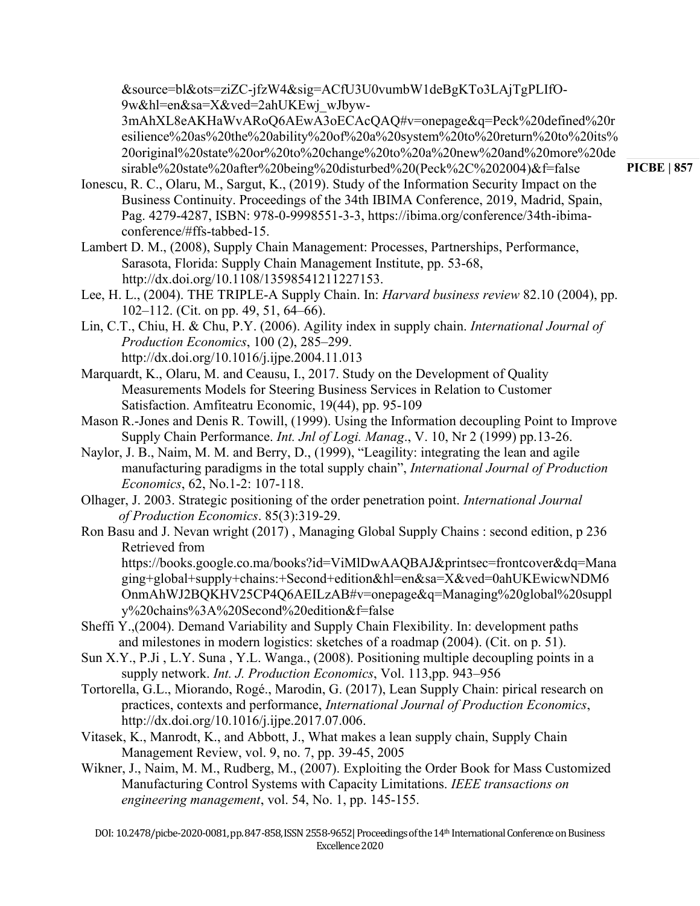[&source=bl&ots=ziZC-jfzW4&sig=ACfU3U0vumbW1deBgKTo3LAjTgPLIfO-](https://books.google.co.ma/books?id=_fFdDwAAQBAJ&pg=PA449&lpg=PA449&dq=Peck+defined+resilience+as+the+ability+of+a+system+to+return+to+its+original+state+or+to+change+to+a+new+and+more+desirable+state+after+being+disturbed+(Peck,+2004)&source=bl&ots=ziZC-jfzW4&sig=ACfU3U0vumbW1deBgKTo3LAjTgPLIfO-9w&hl=en&sa=X&ved=2ahUKEwj_wJbyw-3mAhXL8eAKHaWvARoQ6AEwA3oECAcQAQ#v=onepage&q=Peck%20defined%20resilience%20as%20the%20ability%20of%20a%20system%20to%20return%20to%20its%20original%20state%20or%20to%20change%20to%20a%20new%20and%20more%20desirable%20state%20after%20being%20disturbed%20(Peck%2C%202004)&f=false)[9w&hl=en&sa=X&ved=2ahUKEwj\\_wJbyw-](https://books.google.co.ma/books?id=_fFdDwAAQBAJ&pg=PA449&lpg=PA449&dq=Peck+defined+resilience+as+the+ability+of+a+system+to+return+to+its+original+state+or+to+change+to+a+new+and+more+desirable+state+after+being+disturbed+(Peck,+2004)&source=bl&ots=ziZC-jfzW4&sig=ACfU3U0vumbW1deBgKTo3LAjTgPLIfO-9w&hl=en&sa=X&ved=2ahUKEwj_wJbyw-3mAhXL8eAKHaWvARoQ6AEwA3oECAcQAQ#v=onepage&q=Peck%20defined%20resilience%20as%20the%20ability%20of%20a%20system%20to%20return%20to%20its%20original%20state%20or%20to%20change%20to%20a%20new%20and%20more%20desirable%20state%20after%20being%20disturbed%20(Peck%2C%202004)&f=false)

[3mAhXL8eAKHaWvARoQ6AEwA3oECAcQAQ#v=onepage&q=Peck%20defined%20r](https://books.google.co.ma/books?id=_fFdDwAAQBAJ&pg=PA449&lpg=PA449&dq=Peck+defined+resilience+as+the+ability+of+a+system+to+return+to+its+original+state+or+to+change+to+a+new+and+more+desirable+state+after+being+disturbed+(Peck,+2004)&source=bl&ots=ziZC-jfzW4&sig=ACfU3U0vumbW1deBgKTo3LAjTgPLIfO-9w&hl=en&sa=X&ved=2ahUKEwj_wJbyw-3mAhXL8eAKHaWvARoQ6AEwA3oECAcQAQ#v=onepage&q=Peck%20defined%20resilience%20as%20the%20ability%20of%20a%20system%20to%20return%20to%20its%20original%20state%20or%20to%20change%20to%20a%20new%20and%20more%20desirable%20state%20after%20being%20disturbed%20(Peck%2C%202004)&f=false) [esilience%20as%20the%20ability%20of%20a%20system%20to%20return%20to%20its%](https://books.google.co.ma/books?id=_fFdDwAAQBAJ&pg=PA449&lpg=PA449&dq=Peck+defined+resilience+as+the+ability+of+a+system+to+return+to+its+original+state+or+to+change+to+a+new+and+more+desirable+state+after+being+disturbed+(Peck,+2004)&source=bl&ots=ziZC-jfzW4&sig=ACfU3U0vumbW1deBgKTo3LAjTgPLIfO-9w&hl=en&sa=X&ved=2ahUKEwj_wJbyw-3mAhXL8eAKHaWvARoQ6AEwA3oECAcQAQ#v=onepage&q=Peck%20defined%20resilience%20as%20the%20ability%20of%20a%20system%20to%20return%20to%20its%20original%20state%20or%20to%20change%20to%20a%20new%20and%20more%20desirable%20state%20after%20being%20disturbed%20(Peck%2C%202004)&f=false) [20original%20state%20or%20to%20change%20to%20a%20new%20and%20more%20de](https://books.google.co.ma/books?id=_fFdDwAAQBAJ&pg=PA449&lpg=PA449&dq=Peck+defined+resilience+as+the+ability+of+a+system+to+return+to+its+original+state+or+to+change+to+a+new+and+more+desirable+state+after+being+disturbed+(Peck,+2004)&source=bl&ots=ziZC-jfzW4&sig=ACfU3U0vumbW1deBgKTo3LAjTgPLIfO-9w&hl=en&sa=X&ved=2ahUKEwj_wJbyw-3mAhXL8eAKHaWvARoQ6AEwA3oECAcQAQ#v=onepage&q=Peck%20defined%20resilience%20as%20the%20ability%20of%20a%20system%20to%20return%20to%20its%20original%20state%20or%20to%20change%20to%20a%20new%20and%20more%20desirable%20state%20after%20being%20disturbed%20(Peck%2C%202004)&f=false) [sirable%20state%20after%20being%20disturbed%20\(Peck%2C%202004\)&f=false](https://books.google.co.ma/books?id=_fFdDwAAQBAJ&pg=PA449&lpg=PA449&dq=Peck+defined+resilience+as+the+ability+of+a+system+to+return+to+its+original+state+or+to+change+to+a+new+and+more+desirable+state+after+being+disturbed+(Peck,+2004)&source=bl&ots=ziZC-jfzW4&sig=ACfU3U0vumbW1deBgKTo3LAjTgPLIfO-9w&hl=en&sa=X&ved=2ahUKEwj_wJbyw-3mAhXL8eAKHaWvARoQ6AEwA3oECAcQAQ#v=onepage&q=Peck%20defined%20resilience%20as%20the%20ability%20of%20a%20system%20to%20return%20to%20its%20original%20state%20or%20to%20change%20to%20a%20new%20and%20more%20desirable%20state%20after%20being%20disturbed%20(Peck%2C%202004)&f=false)

- Ionescu, R. C., Olaru, M., Sargut, K., (2019). Study of the Information Security Impact on the Business Continuity. Proceedings of the 34th IBIMA Conference, 2019, Madrid, Spain, Pag. 4279-4287, ISBN: 978-0-9998551-3-3, https://ibima.org/conference/34th-ibimaconference/#ffs-tabbed-15.
- Lambert D. M., (2008), Supply Chain Management: Processes, Partnerships, Performance, Sarasota, Florida: Supply Chain Management Institute, pp. 53-68, http://dx.doi.org/10.1108/13598541211227153.
- Lee, H. L., (2004). THE TRIPLE-A Supply Chain. In: *Harvard business review* 82.10 (2004), pp. 102–112. (Cit. on pp. 49, 51, 64–66).
- Lin, C.T., Chiu, H. & Chu, P.Y. (2006). Agility index in supply chain. *International Journal of Production Economics*, 100 (2), 285–299. http://dx.doi.org/10.1016/j.ijpe.2004.11.013
- Marquardt, K., Olaru, M. and Ceausu, I., 2017. Study on the Development of Quality Measurements Models for Steering Business Services in Relation to Customer Satisfaction. Amfiteatru Economic, 19(44), pp. 95-109
- Mason R.-Jones and Denis R. Towill, (1999). Using the Information decoupling Point to Improve Supply Chain Performance. *Int. Jnl of Logi. Manag*., V. 10, Nr 2 (1999) pp.13-26.
- Naylor, J. B., Naim, M. M. and Berry, D., (1999), "Leagility: integrating the lean and agile manufacturing paradigms in the total supply chain", *International Journal of Production Economics*, 62, No.1-2: 107-118.
- Olhager, J. 2003. Strategic positioning of the order penetration point. *International Journal of Production Economics*. 85(3):319-29.
- Ron Basu and J. Nevan wright (2017) , Managing Global Supply Chains : second edition, p 236 Retrieved from

[https://books.google.co.ma/books?id=ViMlDwAAQBAJ&printsec=frontcover&dq=Mana](https://books.google.co.ma/books?id=ViMlDwAAQBAJ&printsec=frontcover&dq=Managing+global+supply+chains:+Second+edition&hl=en&sa=X&ved=0ahUKEwicwNDM6OnmAhWJ2BQKHV25CP4Q6AEILzAB#v=onepage&q=Managing%20global%20supply%20chains%3A%20Second%20edition&f=false) [ging+global+supply+chains:+Second+edition&hl=en&sa=X&ved=0ahUKEwicwNDM6](https://books.google.co.ma/books?id=ViMlDwAAQBAJ&printsec=frontcover&dq=Managing+global+supply+chains:+Second+edition&hl=en&sa=X&ved=0ahUKEwicwNDM6OnmAhWJ2BQKHV25CP4Q6AEILzAB#v=onepage&q=Managing%20global%20supply%20chains%3A%20Second%20edition&f=false) [OnmAhWJ2BQKHV25CP4Q6AEILzAB#v=onepage&q=Managing%20global%20suppl](https://books.google.co.ma/books?id=ViMlDwAAQBAJ&printsec=frontcover&dq=Managing+global+supply+chains:+Second+edition&hl=en&sa=X&ved=0ahUKEwicwNDM6OnmAhWJ2BQKHV25CP4Q6AEILzAB#v=onepage&q=Managing%20global%20supply%20chains%3A%20Second%20edition&f=false) [y%20chains%3A%20Second%20edition&f=false](https://books.google.co.ma/books?id=ViMlDwAAQBAJ&printsec=frontcover&dq=Managing+global+supply+chains:+Second+edition&hl=en&sa=X&ved=0ahUKEwicwNDM6OnmAhWJ2BQKHV25CP4Q6AEILzAB#v=onepage&q=Managing%20global%20supply%20chains%3A%20Second%20edition&f=false)

- Sheffi Y.,(2004). Demand Variability and Supply Chain Flexibility. In: development paths and milestones in modern logistics: sketches of a roadmap (2004). (Cit. on p. 51).
- Sun X.Y., P.Ji , L.Y. Suna , Y.L. Wanga., (2008). Positioning multiple decoupling points in a supply network. *Int. J. Production Economics*, Vol. 113,pp. 943–956
- Tortorella, G.L., Miorando, Rogé., Marodin, G. (2017), Lean Supply Chain: pirical research on practices, contexts and performance, *International Journal of Production Economics*, http://dx.doi.org/10.1016/j.ijpe.2017.07.006.
- Vitasek, K., Manrodt, K., and Abbott, J., What makes a lean supply chain, Supply Chain Management Review, vol. 9, no. 7, pp. 39-45, 2005
- Wikner, J., Naim, M. M., Rudberg, M., (2007). Exploiting the Order Book for Mass Customized Manufacturing Control Systems with Capacity Limitations. *IEEE transactions on engineering management*, vol. 54, No. 1, pp. 145-155.

**PICBE | 857**